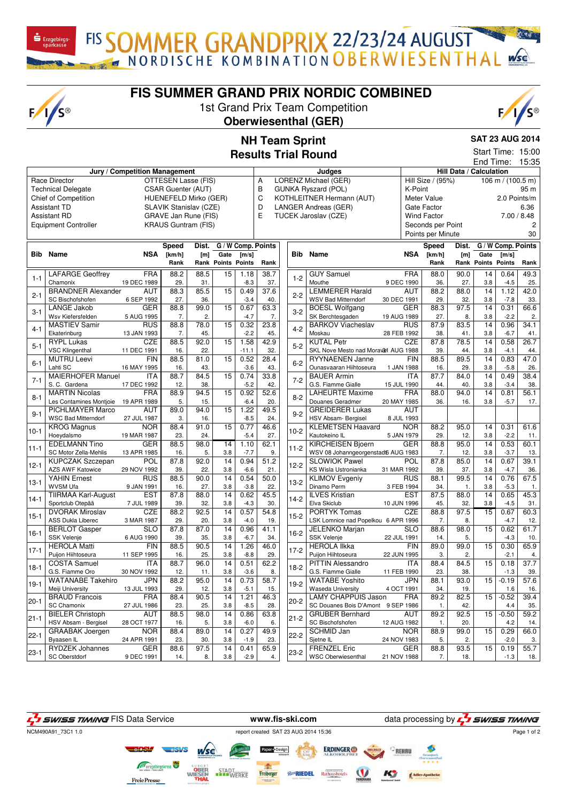FIS SOMMER GRANDPRIX 22/23/24 AUGUST

## **FIS SUMMER GRAND PRIX NORDIC COMBINED**

 $\mathbf{\dot{S}}$  Erzgebirgs

 $F/I/S^{\circledcirc}$ 

1st Grand Prix Team Competition **Oberwiesenthal (GER)**



## **NH Team Sprint Results Trial Round**

## **SAT 23 AUG 2014** Start Time: 15:00

| End Time:                   |                                               |                               |                             |             |                           |                |                    |                                          |                                      |                          | 15:35                                        |                   |                                 |                    |                |  |
|-----------------------------|-----------------------------------------------|-------------------------------|-----------------------------|-------------|---------------------------|----------------|--------------------|------------------------------------------|--------------------------------------|--------------------------|----------------------------------------------|-------------------|---------------------------------|--------------------|----------------|--|
|                             |                                               | Jury / Competition Management |                             |             |                           |                | Judges             |                                          |                                      |                          | Hill Data / Calculation<br>Hill Size / (95%) |                   |                                 |                    |                |  |
| Race Director               |                                               |                               | OTTESEN Lasse (FIS)         |             |                           |                |                    | LORENZ Michael (GER)<br>Α                |                                      |                          |                                              |                   | 106 m / $(100.\overline{5})$ m) |                    |                |  |
| <b>Technical Delegate</b>   |                                               |                               | <b>CSAR Guenter (AUT)</b>   |             |                           |                |                    | B<br><b>GUNKA Ryszard (POL)</b>          |                                      |                          | K-Point                                      |                   |                                 | 95 m               |                |  |
| <b>Chief of Competition</b> |                                               |                               | HUENEFELD Mirko (GER)       |             |                           |                |                    | $\mathsf C$<br>KOTHLEITNER Hermann (AUT) |                                      |                          |                                              |                   | 2.0 Points/m                    |                    |                |  |
| <b>Assistant TD</b>         |                                               |                               | SLAVIK Stanislav (CZE)      |             |                           |                |                    | D<br>LANGER Andreas (GER)                |                                      |                          |                                              |                   | 6.36                            |                    |                |  |
| <b>Assistant RD</b>         |                                               |                               | <b>GRAVE Jan Rune (FIS)</b> |             |                           |                |                    | E<br>TUCEK Jaroslav (CZE)                |                                      |                          |                                              |                   | 7.00 / 8.48                     |                    |                |  |
|                             | <b>Equipment Controller</b>                   |                               | <b>KRAUS Guntram (FIS)</b>  |             |                           |                |                    |                                          |                                      |                          |                                              | Seconds per Point |                                 |                    | $\overline{c}$ |  |
|                             |                                               |                               |                             |             |                           |                |                    |                                          |                                      | Points per Minute        |                                              |                   |                                 |                    | 30             |  |
|                             |                                               |                               | Speed                       | Dist.       |                           |                | G / W Comp. Points |                                          |                                      |                          | Speed                                        | Dist.             |                                 | G / W Comp. Points |                |  |
|                             | <b>Bib</b> Name                               | NSA                           | [km/h]                      | [m]         | Gate                      | [m/s]          |                    |                                          | <b>Bib</b> Name                      | NSA                      | [km/h]                                       | [m]               | Gate                            | $\mathsf{[m/s]}$   |                |  |
|                             |                                               |                               | Rank                        |             | <b>Rank Points Points</b> |                | Rank               |                                          |                                      |                          | Rank                                         |                   | <b>Rank Points Points</b>       |                    | Rank           |  |
|                             | <b>LAFARGE Geoffrey</b>                       | <b>FRA</b>                    | 88.2                        | 88.5        | 15                        | 1.18           | 38.7               |                                          | <b>GUY Samuel</b>                    | <b>FRA</b>               | 88.0                                         | 90.0              | 14                              | 0.64               | 49.3           |  |
| $1 - 1$                     | Chamonix                                      | 19 DEC 1989                   | 29.                         | 31.         |                           | $-8.3$         | 37.                | $1 - 2$                                  | Mouthe                               | 9 DEC 1990               | 36.                                          | 27.               | 3.8                             | $-4.5$             | 25.            |  |
|                             | <b>BRANDNER Alexander</b>                     | <b>AUT</b>                    | 88.3                        | 85.5        | 15                        | 0.49           | 37.6               |                                          | <b>LEMMERER Harald</b>               | <b>AUT</b>               | 88.2                                         | 88.0              | 14                              | 1.12               | 42.0           |  |
| $2 - 1$                     | SC Bischofshofen                              | 6 SEP 1992                    | 27.                         | 36.         |                           | $-3.4$         | 40.                | $2 - 2$                                  | <b>WSV Bad Mitterndorf</b>           | 30 DEC 1991              | 29.                                          | 32.               | 3.8                             | $-7.8$             | 33.            |  |
|                             | <b>LANGE Jakob</b>                            | <b>GER</b>                    | 88.8                        | 99.0        | 15                        | 0.67           | 63.3               |                                          | <b>BOESL Wolfgang</b>                | <b>GER</b>               | 88.3                                         | 97.5              | 14                              | 0.31               | 66.6           |  |
| $3-1$                       | Wsv Kiefersfelden                             | 5 AUG 1995                    | 7.                          | 2.          |                           | $-4.7$         | 7.                 | $3-2$                                    | SK Berchtesgaden                     | 19 AUG 1989              | 27.                                          | 8.                | 3.8                             | $-2.2$             | 2.             |  |
|                             | <b>MASTIEV Samir</b>                          | <b>RUS</b>                    | 88.8                        | 78.0        | 15                        | 0.32           | 23.8               |                                          | <b>BARKOV Viacheslav</b>             | <b>RUS</b>               | 87.9                                         | 83.5              | 14                              | 0.96               | 34.1           |  |
| $4 - 1$                     | Ekaterinburg                                  | 13 JAN 1993                   | 7.                          | 45.         |                           | $-2.2$         | 45.                | $4 - 2$                                  | Moskau                               | 28 FEB 1992              | 38.                                          | 41.               | 3.8                             | $-6.7$             | 41.            |  |
|                             | <b>RYPL Lukas</b>                             | <b>CZE</b>                    | 88.5                        | 92.0        | 15                        | 1.58           | 42.9               |                                          | <b>KUTAL Petr</b>                    | <b>CZE</b>               | 87.8                                         | 78.5              | 14                              | 0.58               | 26.7           |  |
| $5 - 1$                     | <b>VSC Klingenthal</b>                        | 11 DEC 1991                   | 16.                         | 22.         |                           | $-11.1$        | 32.                | $5 - 2$                                  | SKL Nove Mesto nad Moravel AUG 1988  |                          | 39.                                          | 44.               | 3.8                             | $-4.1$             | 44.            |  |
|                             | <b>MUTRU Leevi</b>                            | <b>FIN</b>                    | 88.5                        | 81.0        | 15                        | 0.52           | 28.4               | $6 - 2$                                  | <b>RYYNAENEN Janne</b>               | <b>FIN</b>               | 88.5                                         | 89.5              | 14                              | 0.83               | 47.0           |  |
| $6 - 1$                     | Lahti SC                                      | 16 MAY 1995                   | 16.                         | 43.         |                           | $-3.6$         | 43.                |                                          | Ounasvaaran Hiihtoseura              | 1 JAN 1988               | 16.                                          | 29.               | 3.8                             | $-5.8$             | 26.            |  |
| $7 - 1$<br>$8 - 1$          | <b>MAIERHOFER Manuel</b>                      | <b>ITA</b>                    | 88.7                        | 84.5        | 15                        | 0.74           | 33.8               | $7 - 2$                                  | <b>BAUER Armin</b>                   | ITA                      | 87.7                                         | 84.0              | 14                              | 0.49               | 38.4           |  |
|                             | S. C. Gardena                                 | 17 DEC 1992                   | 12.                         | 38.         |                           | $-5.2$         | 42.                |                                          | G.S. Fiamme Gialle                   | 15 JUL 1990              | 44.                                          | 40.               | 3.8                             | $-3.4$             | 38.            |  |
|                             | <b>MARTIN Nicolas</b>                         | <b>FRA</b>                    | 88.9                        | 94.5        | 15                        | 0.92           | 52.6               | $8 - 2$                                  | <b>LAHEURTE Maxime</b>               | <b>FRA</b>               | 88.0                                         | 94.0              | 14                              | 0.81               | 56.1           |  |
|                             | Les Contamines Montjoie                       | 19 APR 1989                   | 5.                          | 15.         |                           | $-6.4$         | 20.                |                                          | Douanes Geradmer                     | 20 MAY 1985              | 36.                                          | 16.               | 3.8                             | $-5.7$             | 17.            |  |
| $9 - 1$                     | PICHLMAYER Marco                              | <b>AUT</b>                    | 89.0                        | 94.0        | 15                        | 1.22           | 49.5               | $9 - 2$                                  | <b>GREIDERER Lukas</b>               | <b>AUT</b>               |                                              |                   |                                 |                    |                |  |
|                             | <b>WSC Bad Mitterndorf</b>                    | 27 JUL 1987                   | 3.                          | 16.         |                           | $-8.5$         | 24.                |                                          | HSV Absam- Bergisel                  | 8 JUL 1993               |                                              |                   |                                 |                    |                |  |
| $10-1$                      | <b>KROG Magnus</b>                            | <b>NOR</b>                    | 88.4                        | 91.0        | 15                        | 0.77           | 46.6               | $10-2$                                   | <b>KLEMETSEN Haavard</b>             | <b>NOR</b>               | 88.2                                         | 95.0              | 14                              | 0.31               | 61.6           |  |
|                             | Hoeydalsmo                                    | 19 MAR 1987                   | 23.                         | 24.         |                           | $-5.4$         | 27.                |                                          | Kautokeino IL                        | 5 JAN 1979               | 29.                                          | 12.               | 3.8                             | $-2.2$             | 11.            |  |
| 11-1                        | <b>EDELMANN Tino</b>                          | <b>GER</b>                    | 88.5                        | 98.0        | $\overline{14}$           | 1.10           | 62.1               | $11-2$                                   | <b>KIRCHEISEN Bjoern</b>             | <b>GER</b>               | 88.8                                         | 95.0              | 14                              | 0.53               | 60.1           |  |
|                             | SC Motor Zella-Mehlis                         | 13 APR 1985                   | 16.                         | 5.          | 3.8                       | $-7.7$         | 9.                 |                                          | WSV 08 Johanngeorgenstadt6 AUG 1983  |                          | 7.                                           | 12.               | 3.8                             | $-3.7$             | 13.            |  |
| 12-1                        | <b>KUPCZAK Szczepan</b>                       | POL                           | 87.8                        | 92.0        | 14                        | 0.94           | $\overline{51.2}$  | $12-2$                                   | <b>SLOWIOK Pawel</b>                 | POL                      | 87.8                                         | 85.0              | 14                              | 0.67               | 39.1           |  |
|                             | <b>AZS AWF Katowice</b>                       | 29 NOV 1992                   | 39.                         | 22.         | 3.8                       | $-6.6$         | 21.                |                                          | KS Wisla Ustronianka                 | 31 MAR 1992              | 39.                                          | 37.               | 3.8                             | $-4.7$             | 36.            |  |
| 13-1                        | YAHIN Ernest                                  | <b>RUS</b>                    | 88.5                        | 90.0        | 14                        | 0.54           | 50.0               | $13-2$                                   | <b>KLIMOV Evgeniy</b><br>Dinamo Perm | <b>RUS</b>               | 88.1                                         | 99.5              | 14                              | 0.76               | 67.5           |  |
|                             | <b>WVSM Ufa</b><br><b>TIIRMAA Karl-August</b> | 9 JAN 1991<br><b>EST</b>      | 16.<br>87.8                 | 27.<br>88.0 | 3.8<br>14                 | $-3.8$<br>0.62 | 22.<br>45.5        |                                          | <b>ILVES Kristian</b>                | 3 FEB 1994<br><b>EST</b> | 34.<br>87.5                                  | 1.<br>88.0        | 3.8<br>14                       | $-5.3$<br>0.65     | 1.<br>45.3     |  |
| $14-1$                      | Sportclub Otepää                              | 7 JUL 1989                    | 39.                         | 32.         | 3.8                       | $-4.3$         | 30.                | $14-2$                                   | Elva Skiclub                         | 10 JUN 1996              | 45.                                          | 32.               | 3.8                             | $-4.5$             | 31.            |  |
|                             | <b>DVORAK Miroslav</b>                        | <b>CZE</b>                    | 88.2                        | 92.5        | 14                        | 0.57           | 54.8               |                                          | <b>PORTYK Tomas</b>                  | <b>CZE</b>               | 88.8                                         | 97.5              | 15                              | 0.67               | 60.3           |  |
| $ 15-1$                     | <b>ASS Dukla Liberec</b>                      | 3 MAR 1987                    | 29.                         | 20.         | 3.8                       | $-4.0$         | 19.                | $15-2$                                   | LSK Lomnice nad Popelkou 6 APR 1996  |                          | 7.                                           | 8.                |                                 | $-4.7$             | 12.            |  |
|                             | <b>BERLOT Gasper</b>                          | SLO                           | 87.8                        | 87.0        | $\overline{14}$           | 0.96           | 41.1               |                                          | <b>JELENKO Marjan</b>                | <b>SLO</b>               | 88.6                                         | 98.0              | 15                              | 0.62               | 61.7           |  |
| 16-1                        | <b>SSK Velenje</b>                            | 6 AUG 1990                    | 39.                         | 35.         | 3.8                       | $-6.7$         | 34.                | $16-2$                                   | <b>SSK Velenje</b>                   | 22 JUL 1991              | 14.                                          | 5.                |                                 | $-4.3$             | 10.            |  |
|                             | <b>HEROLA Matti</b>                           | <b>FIN</b>                    | 88.5                        | 90.5        | 14                        | 1.26           | 46.0               |                                          | <b>HEROLA IIkka</b>                  | <b>FIN</b>               | 89.0                                         | 99.0              | 15                              | 0.30               | 65.9           |  |
| $17 - 1$                    | Puiion Hiihtoseura                            | 11 SEP 1995                   | 16.                         | 25.         | 3.8                       | $-8.8$         | 29.                | $17-2$                                   | Puiion Hiihtoseura                   | 22 JUN 1995              | 3.                                           | 2.                |                                 | $-2.1$             | 4.             |  |
|                             | <b>COSTA Samuel</b>                           | <b>ITA</b>                    | 88.7                        | 96.0        | 14                        | 0.51           | 62.2               |                                          | <b>PITTIN Alessandro</b>             | <b>ITA</b>               | 88.4                                         | 84.5              | 15                              | 0.18               | 37.7           |  |
| 18-1<br>$ 19-1 $<br>20-1    | G.S. Fiamme Oro                               | 30 NOV 1992                   | 12.                         | 11.         | 3.8                       | $-3.6$         | 8.                 | $18-2$                                   | G.S. Fiamme Gialle                   | 11 FEB 1990              | 23.                                          | 38.               |                                 | $-1.3$             | 39.            |  |
|                             | <b>WATANABE Takehiro</b>                      | <b>JPN</b>                    | 88.2                        | 95.0        | 14                        | 0.73           | 58.7               | $19-2$                                   | <b>WATABE Yoshito</b>                | <b>JPN</b>               | 88.1                                         | 93.0              | 15                              | $-0.19$            | 57.6           |  |
|                             | Meiji University                              | 13 JUL 1993                   | 29.                         | 12.         | 3.8                       | $-5.1$         | 15.                |                                          | <b>Waseda University</b>             | 4 OCT 1991               | 34.                                          | 19.               |                                 | 1.6                | 16.            |  |
|                             | <b>BRAUD Francois</b>                         | <b>FRA</b>                    | 88.4                        | 90.5        | 14                        | 1.21           | 46.3               |                                          | <b>LAMY CHAPPUIS Jason</b>           | <b>FRA</b>               | 89.2                                         | 82.5              | 15                              | $-0.52$            | 39.4           |  |
|                             | SC Chamonix                                   | 27 JUL 1986                   | 23.                         | 25.         | 3.8                       | $-8.5$         | 28.                | $20 - 2$                                 | SC Douanes Bois D'Amont 9 SEP 1986   |                          | 1.                                           | 42.               |                                 | 4.4                | 35.            |  |
|                             | <b>BIELER Christoph</b>                       | AUT                           | 88.5                        | 98.0        | 14                        | 0.86           | 63.8               | $21 - 2$                                 | <b>GRUBER Bernhard</b>               | AUT                      | 89.2                                         | 92.5              | 15                              | $-0.50$            | 59.2           |  |
| 21-1                        | HSV Absam - Bergisel                          | 28 OCT 1977                   | 16.                         | 5.          | 3.8                       | $-6.0$         | 6.                 |                                          | SC Bischofshofen                     | 12 AUG 1982              | 1.                                           | 20.               |                                 | 4.2                | 14.            |  |
|                             | <b>GRAABAK Joergen</b>                        | <b>NOR</b>                    | 88.4                        | 89.0        | 14                        | 0.27           | 49.9               | $22-2$                                   | SCHMID Jan                           | <b>NOR</b>               | 88.9                                         | 99.0              | 15                              | 0.29               | 66.0           |  |
| 22-1                        | Byaasen IL                                    | 24 APR 1991                   | 23.                         | 30.         | 3.8                       | $-1.9$         | 23.                |                                          | Sjetne IL                            | 24 NOV 1983              | 5.                                           | 2.                |                                 | $-2.0$             | 3.             |  |
| 23-1                        | RYDZEK Johannes                               | GER                           | 88.6                        | 97.5        | 14                        | 0.41           | 65.9               | $23 - 2$                                 | <b>FRENZEL Eric</b>                  | <b>GER</b>               | 88.8                                         | 93.5              | 15                              | 0.19               | 55.7           |  |
|                             | SC Oberstdorf                                 | 9 DEC 1991                    | 14.                         | 8.          | 3.8                       | $-2.9$         | 4.                 |                                          | <b>WSC Oberwiesenthal</b>            | 21 NOV 1988              | 7.                                           | 18.               |                                 | $-1.3$             | 18.            |  |